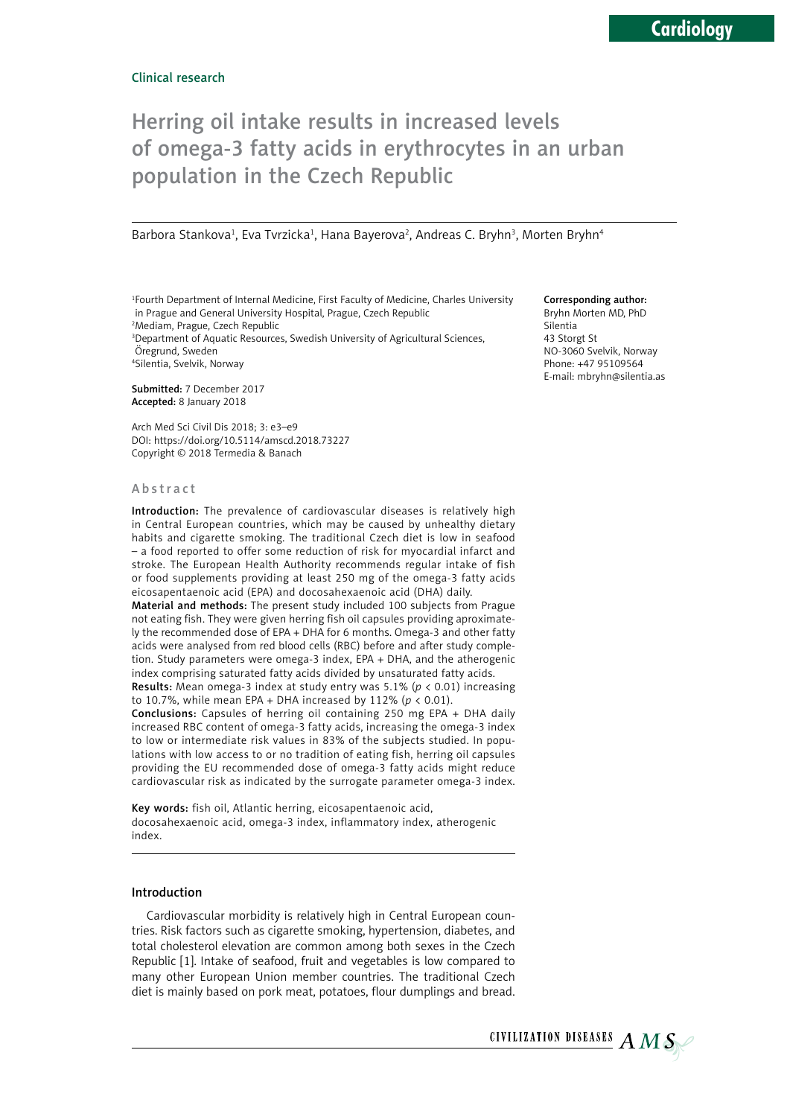# Herring oil intake results in increased levels of omega-3 fatty acids in erythrocytes in an urban population in the Czech Republic

Barbora Stankova<sup>1</sup>, Eva Tvrzicka<sup>1</sup>, Hana Bayerova<sup>2</sup>, Andreas C. Bryhn<sup>3</sup>, Morten Bryhn<sup>4</sup>

<sup>1</sup>Fourth Department of Internal Medicine, First Faculty of Medicine, Charles University in Prague and General University Hospital, Prague, Czech Republic

2 Mediam, Prague, Czech Republic <sup>3</sup>Department of Aquatic Resources, Swedish University of Agricultural Sciences, Öregrund, Sweden

4 Silentia, Svelvik, Norway

Submitted: 7 December 2017 Accepted: 8 January 2018

Arch Med Sci Civil Dis 2018; 3: e3–e9 DOI: https://doi.org/10.5114/amscd.2018.73227 Copyright © 2018 Termedia & Banach

#### Abstract

Introduction: The prevalence of cardiovascular diseases is relatively high in Central European countries, which may be caused by unhealthy dietary habits and cigarette smoking. The traditional Czech diet is low in seafood – a food reported to offer some reduction of risk for myocardial infarct and stroke. The European Health Authority recommends regular intake of fish or food supplements providing at least 250 mg of the omega-3 fatty acids eicosapentaenoic acid (EPA) and docosahexaenoic acid (DHA) daily.

Material and methods: The present study included 100 subjects from Prague not eating fish. They were given herring fish oil capsules providing aproximately the recommended dose of EPA + DHA for 6 months. Omega-3 and other fatty acids were analysed from red blood cells (RBC) before and after study completion. Study parameters were omega-3 index, EPA + DHA, and the atherogenic index comprising saturated fatty acids divided by unsaturated fatty acids.

Results: Mean omega-3 index at study entry was 5.1% (*p* < 0.01) increasing to 10.7%, while mean EPA + DHA increased by 112% (*p* < 0.01).

Conclusions: Capsules of herring oil containing 250 mg EPA + DHA daily increased RBC content of omega-3 fatty acids, increasing the omega-3 index to low or intermediate risk values in 83% of the subjects studied. In populations with low access to or no tradition of eating fish, herring oil capsules providing the EU recommended dose of omega-3 fatty acids might reduce cardiovascular risk as indicated by the surrogate parameter omega-3 index.

Key words: fish oil, Atlantic herring, eicosapentaenoic acid, docosahexaenoic acid, omega-3 index, inflammatory index, atherogenic index.

#### Introduction

Cardiovascular morbidity is relatively high in Central European countries. Risk factors such as cigarette smoking, hypertension, diabetes, and total cholesterol elevation are common among both sexes in the Czech Republic [1]. Intake of seafood, fruit and vegetables is low compared to many other European Union member countries. The traditional Czech diet is mainly based on pork meat, potatoes, flour dumplings and bread.

#### Corresponding author:

Bryhn Morten MD, PhD Silentia 43 Storgt St NO-3060 Svelvik, Norway Phone: +47 95109564 E-mail: mbryhn@silentia.as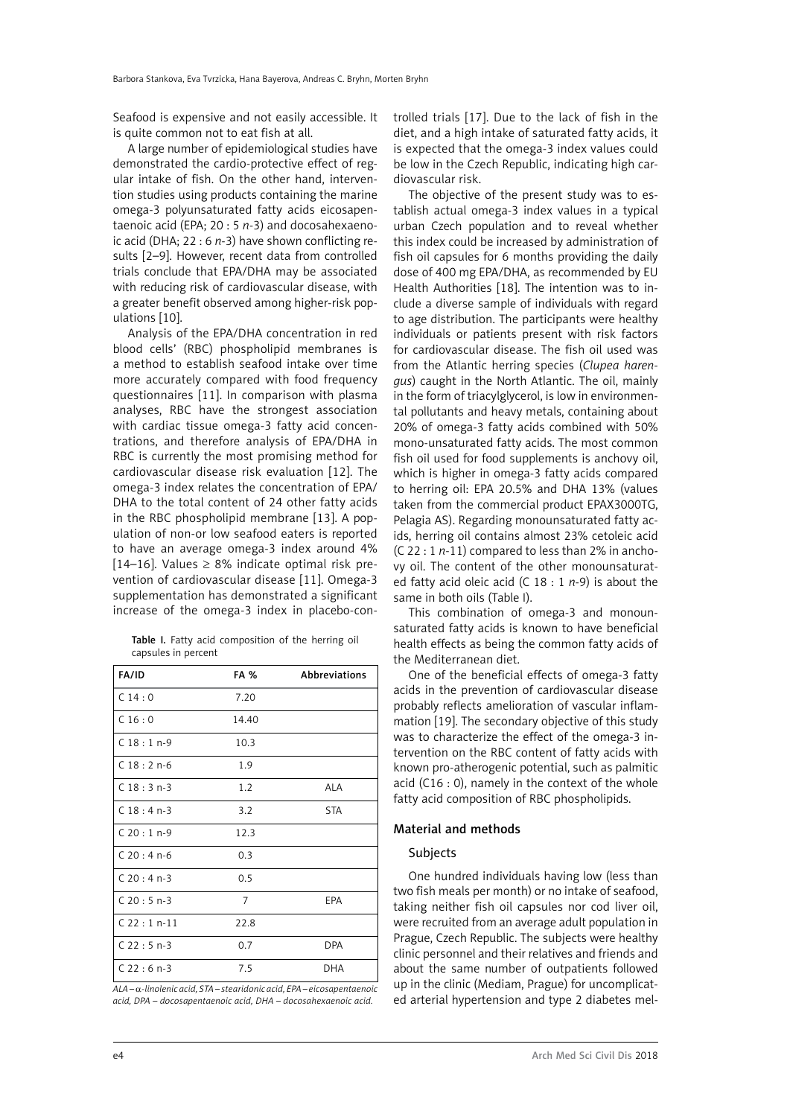Seafood is expensive and not easily accessible. It is quite common not to eat fish at all.

A large number of epidemiological studies have demonstrated the cardio-protective effect of regular intake of fish. On the other hand, intervention studies using products containing the marine omega-3 polyunsaturated fatty acids eicosapentaenoic acid (EPA; 20 : 5 *n*-3) and docosahexaenoic acid (DHA; 22 : 6 *n*-3) have shown conflicting results [2–9]. However, recent data from controlled trials conclude that EPA/DHA may be associated with reducing risk of cardiovascular disease, with a greater benefit observed among higher-risk populations [10].

Analysis of the EPA/DHA concentration in red blood cells' (RBC) phospholipid membranes is a method to establish seafood intake over time more accurately compared with food frequency questionnaires [11]. In comparison with plasma analyses, RBC have the strongest association with cardiac tissue omega-3 fatty acid concentrations, and therefore analysis of EPA/DHA in RBC is currently the most promising method for cardiovascular disease risk evaluation [12]. The omega-3 index relates the concentration of EPA/ DHA to the total content of 24 other fatty acids in the RBC phospholipid membrane [13]. A population of non-or low seafood eaters is reported to have an average omega-3 index around 4% [14–16]. Values  $\geq 8\%$  indicate optimal risk prevention of cardiovascular disease [11]. Omega-3 supplementation has demonstrated a significant increase of the omega-3 index in placebo-con-

|                     |  | Table I. Fatty acid composition of the herring oil |  |  |
|---------------------|--|----------------------------------------------------|--|--|
| capsules in percent |  |                                                    |  |  |

| FA/ID           | <b>FA %</b>    | Abbreviations |
|-----------------|----------------|---------------|
| C14:0           | 7.20           |               |
| C16:0           | 14.40          |               |
| $C$ 18 : 1 n-9  | 10.3           |               |
| $C18:2n-6$      | 1.9            |               |
| $C$ 18:3 n-3    | 1.2            | <b>ALA</b>    |
| $C.18:4n-3$     | 3.2            | <b>STA</b>    |
| $C$ 20:1 n-9    | 12.3           |               |
| $C$ 20:4 n-6    | 0.3            |               |
| $C$ 20:4 n-3    | 0.5            |               |
| $C$ 20:5 n-3    | $\overline{7}$ | EPA           |
| $C$ 22 : 1 n-11 | 22.8           |               |
| $C$ 22 : 5 n-3  | 0.7            | <b>DPA</b>    |
| $C$ 22:6 n-3    | 7.5            | <b>DHA</b>    |

*ALA –* α*-linolenic acid, STA – stearidonic acid, EPA – eicosapentaenoic acid, DPA – docosapentaenoic acid, DHA – docosahexaenoic acid.*

trolled trials [17]. Due to the lack of fish in the diet, and a high intake of saturated fatty acids, it is expected that the omega-3 index values could be low in the Czech Republic, indicating high cardiovascular risk.

The objective of the present study was to establish actual omega-3 index values in a typical urban Czech population and to reveal whether this index could be increased by administration of fish oil capsules for 6 months providing the daily dose of 400 mg EPA/DHA, as recommended by EU Health Authorities [18]. The intention was to include a diverse sample of individuals with regard to age distribution. The participants were healthy individuals or patients present with risk factors for cardiovascular disease. The fish oil used was from the Atlantic herring species (*Clupea harengus*) caught in the North Atlantic. The oil, mainly in the form of triacylglycerol, is low in environmental pollutants and heavy metals, containing about 20% of omega-3 fatty acids combined with 50% mono-unsaturated fatty acids. The most common fish oil used for food supplements is anchovy oil, which is higher in omega-3 fatty acids compared to herring oil: EPA 20.5% and DHA 13% (values taken from the commercial product EPAX3000TG, Pelagia AS). Regarding monounsaturated fatty acids, herring oil contains almost 23% cetoleic acid (C 22 : 1 *n*-11) compared to less than 2% in anchovy oil. The content of the other monounsaturated fatty acid oleic acid (C 18 : 1 *n*-9) is about the same in both oils (Table I).

This combination of omega-3 and monounsaturated fatty acids is known to have beneficial health effects as being the common fatty acids of the Mediterranean diet.

One of the beneficial effects of omega-3 fatty acids in the prevention of cardiovascular disease probably reflects amelioration of vascular inflammation [19]. The secondary objective of this study was to characterize the effect of the omega-3 intervention on the RBC content of fatty acids with known pro-atherogenic potential, such as palmitic acid (C16 : 0), namely in the context of the whole fatty acid composition of RBC phospholipids.

#### Material and methods

# **Subjects**

One hundred individuals having low (less than two fish meals per month) or no intake of seafood, taking neither fish oil capsules nor cod liver oil, were recruited from an average adult population in Prague, Czech Republic. The subjects were healthy clinic personnel and their relatives and friends and about the same number of outpatients followed up in the clinic (Mediam, Prague) for uncomplicated arterial hypertension and type 2 diabetes mel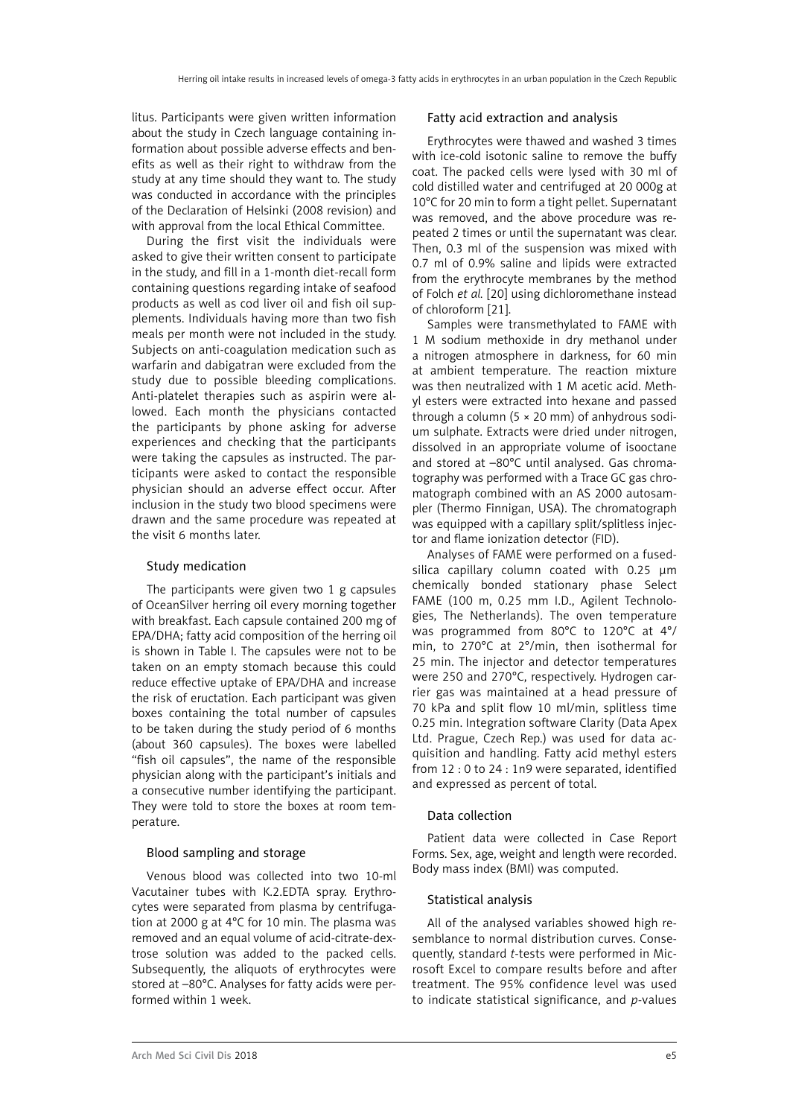litus. Participants were given written information about the study in Czech language containing information about possible adverse effects and benefits as well as their right to withdraw from the study at any time should they want to. The study was conducted in accordance with the principles of the Declaration of Helsinki (2008 revision) and with approval from the local Ethical Committee.

During the first visit the individuals were asked to give their written consent to participate in the study, and fill in a 1-month diet-recall form containing questions regarding intake of seafood products as well as cod liver oil and fish oil supplements. Individuals having more than two fish meals per month were not included in the study. Subjects on anti-coagulation medication such as warfarin and dabigatran were excluded from the study due to possible bleeding complications. Anti-platelet therapies such as aspirin were allowed. Each month the physicians contacted the participants by phone asking for adverse experiences and checking that the participants were taking the capsules as instructed. The participants were asked to contact the responsible physician should an adverse effect occur. After inclusion in the study two blood specimens were drawn and the same procedure was repeated at the visit 6 months later.

# Study medication

The participants were given two 1 g capsules of OceanSilver herring oil every morning together with breakfast. Each capsule contained 200 mg of EPA/DHA; fatty acid composition of the herring oil is shown in Table I. The capsules were not to be taken on an empty stomach because this could reduce effective uptake of EPA/DHA and increase the risk of eructation. Each participant was given boxes containing the total number of capsules to be taken during the study period of 6 months (about 360 capsules). The boxes were labelled "fish oil capsules", the name of the responsible physician along with the participant's initials and a consecutive number identifying the participant. They were told to store the boxes at room temperature.

# Blood sampling and storage

Venous blood was collected into two 10-ml Vacutainer tubes with K.2.EDTA spray. Erythrocytes were separated from plasma by centrifugation at 2000 g at 4°C for 10 min. The plasma was removed and an equal volume of acid-citrate-dextrose solution was added to the packed cells. Subsequently, the aliquots of erythrocytes were stored at –80°C. Analyses for fatty acids were performed within 1 week.

# Fatty acid extraction and analysis

Erythrocytes were thawed and washed 3 times with ice-cold isotonic saline to remove the buffy coat. The packed cells were lysed with 30 ml of cold distilled water and centrifuged at 20 000g at 10°C for 20 min to form a tight pellet. Supernatant was removed, and the above procedure was repeated 2 times or until the supernatant was clear. Then, 0.3 ml of the suspension was mixed with 0.7 ml of 0.9% saline and lipids were extracted from the erythrocyte membranes by the method of Folch *et al.* [20] using dichloromethane instead of chloroform [21].

Samples were transmethylated to FAME with 1 M sodium methoxide in dry methanol under a nitrogen atmosphere in darkness, for 60 min at ambient temperature. The reaction mixture was then neutralized with 1 M acetic acid. Methyl esters were extracted into hexane and passed through a column (5 × 20 mm) of anhydrous sodium sulphate. Extracts were dried under nitrogen, dissolved in an appropriate volume of isooctane and stored at –80°C until analysed. Gas chromatography was performed with a Trace GC gas chromatograph combined with an AS 2000 autosampler (Thermo Finnigan, USA). The chromatograph was equipped with a capillary split/splitless injector and flame ionization detector (FID).

Analyses of FAME were performed on a fusedsilica capillary column coated with 0.25 μm chemically bonded stationary phase Select FAME (100 m, 0.25 mm I.D., Agilent Technologies, The Netherlands). The oven temperature was programmed from 80°C to 120°C at 4°/ min, to 270°C at 2°/min, then isothermal for 25 min. The injector and detector temperatures were 250 and 270°C, respectively. Hydrogen carrier gas was maintained at a head pressure of 70 kPa and split flow 10 ml/min, splitless time 0.25 min. Integration software Clarity (Data Apex Ltd. Prague, Czech Rep.) was used for data acquisition and handling. Fatty acid methyl esters from 12 : 0 to 24 : 1n9 were separated, identified and expressed as percent of total.

# Data collection

Patient data were collected in Case Report Forms. Sex, age, weight and length were recorded. Body mass index (BMI) was computed.

# Statistical analysis

All of the analysed variables showed high resemblance to normal distribution curves. Consequently, standard *t*-tests were performed in Microsoft Excel to compare results before and after treatment. The 95% confidence level was used to indicate statistical significance, and *p*-values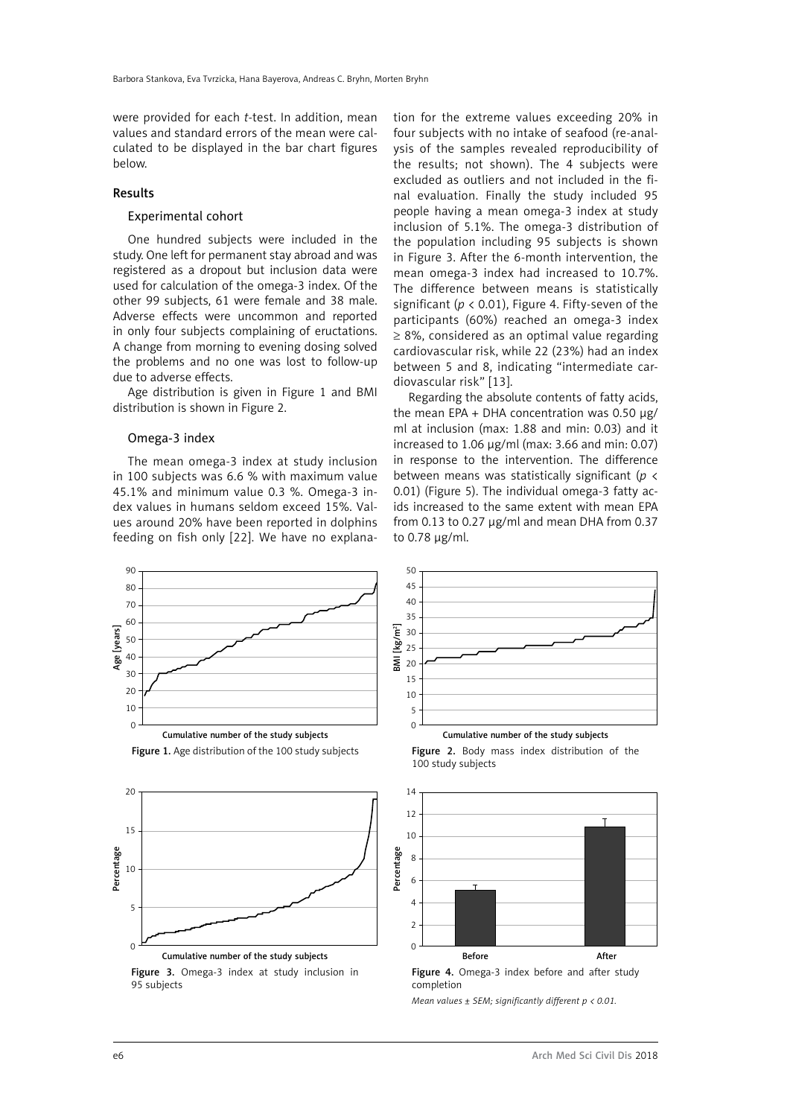were provided for each *t*-test. In addition, mean values and standard errors of the mean were calculated to be displayed in the bar chart figures below.

#### Results

## Experimental cohort

One hundred subjects were included in the study. One left for permanent stay abroad and was registered as a dropout but inclusion data were used for calculation of the omega-3 index. Of the other 99 subjects, 61 were female and 38 male. Adverse effects were uncommon and reported in only four subjects complaining of eructations. A change from morning to evening dosing solved the problems and no one was lost to follow-up due to adverse effects.

Age distribution is given in Figure 1 and BMI distribution is shown in Figure 2.

#### Omega-3 index

The mean omega-3 index at study inclusion in 100 subjects was 6.6 % with maximum value 45.1% and minimum value 0.3 %. Omega-3 index values in humans seldom exceed 15%. Values around 20% have been reported in dolphins feeding on fish only [22]. We have no explanation for the extreme values exceeding 20% in four subjects with no intake of seafood (re-analysis of the samples revealed reproducibility of the results; not shown). The 4 subjects were excluded as outliers and not included in the final evaluation. Finally the study included 95 people having a mean omega-3 index at study inclusion of 5.1%. The omega-3 distribution of the population including 95 subjects is shown in Figure 3. After the 6-month intervention, the mean omega-3 index had increased to 10.7%. The difference between means is statistically significant ( $p < 0.01$ ), Figure 4. Fifty-seven of the participants (60%) reached an omega-3 index  $\geq$  8%, considered as an optimal value regarding cardiovascular risk, while 22 (23%) had an index between 5 and 8, indicating "intermediate cardiovascular risk" [13].

Regarding the absolute contents of fatty acids, the mean EPA + DHA concentration was 0.50  $\mu$ g/ ml at inclusion (max: 1.88 and min: 0.03) and it increased to 1.06 µg/ml (max: 3.66 and min: 0.07) in response to the intervention. The difference between means was statistically significant (*p* < 0.01) (Figure 5). The individual omega-3 fatty acids increased to the same extent with mean EPA from 0.13 to 0.27 µg/ml and mean DHA from 0.37 to 0.78 µg/ml.





Figure 2. Body mass index distribution of the 100 study subjects







*Mean values ± SEM; significantly different p < 0.01.*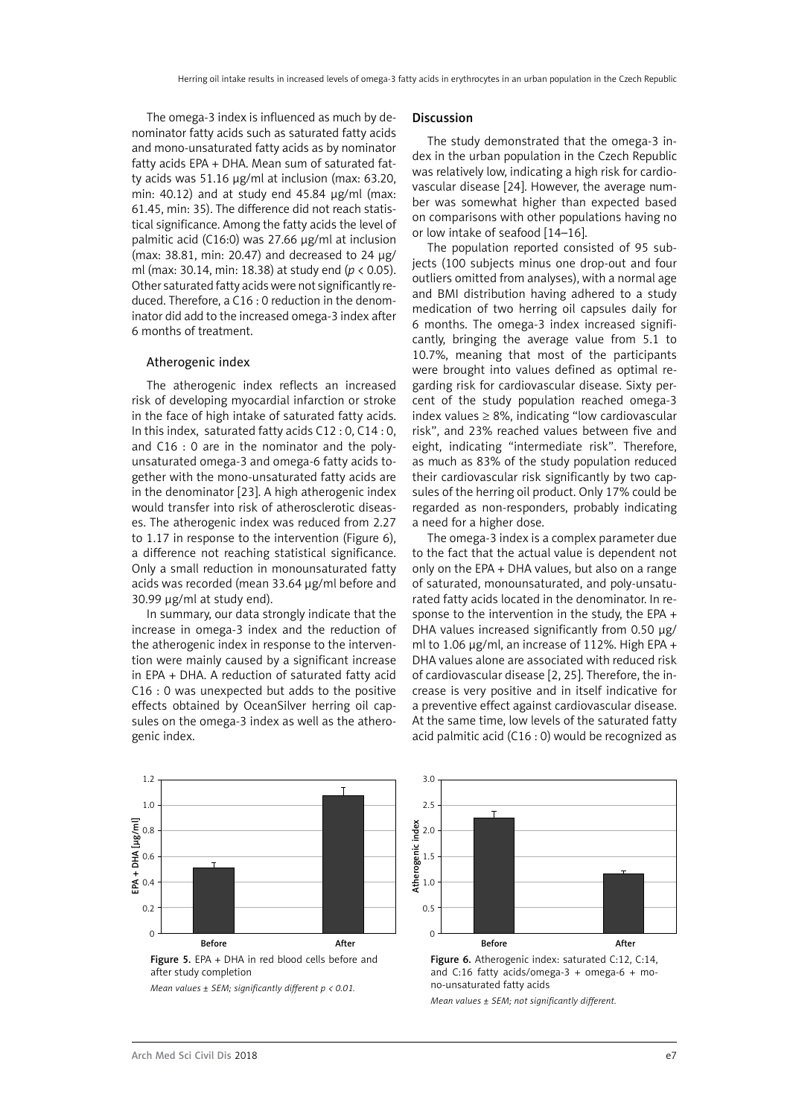The omega-3 index is influenced as much by denominator fatty acids such as saturated fatty acids and mono-unsaturated fatty acids as by nominator fatty acids EPA + DHA. Mean sum of saturated fatty acids was 51.16 µg/ml at inclusion (max: 63.20, min: 40.12) and at study end 45.84  $\mu$ g/ml (max: 61.45, min: 35). The difference did not reach statistical significance. Among the fatty acids the level of palmitic acid (C16:0) was 27.66 µg/ml at inclusion (max: 38.81, min: 20.47) and decreased to 24 µg/ ml (max: 30.14, min: 18.38) at study end (*p* < 0.05). Other saturated fatty acids were not significantly reduced. Therefore, a C16 : 0 reduction in the denominator did add to the increased omega-3 index after 6 months of treatment.

## Atherogenic index

The atherogenic index reflects an increased risk of developing myocardial infarction or stroke in the face of high intake of saturated fatty acids. In this index, saturated fatty acids C12 : 0, C14 : 0, and C16 : 0 are in the nominator and the polyunsaturated omega-3 and omega-6 fatty acids together with the mono-unsaturated fatty acids are in the denominator [23]. A high atherogenic index would transfer into risk of atherosclerotic diseases. The atherogenic index was reduced from 2.27 to 1.17 in response to the intervention (Figure 6), a difference not reaching statistical significance. Only a small reduction in monounsaturated fatty acids was recorded (mean 33.64 µg/ml before and 30.99 µg/ml at study end).

In summary, our data strongly indicate that the increase in omega-3 index and the reduction of the atherogenic index in response to the intervention were mainly caused by a significant increase in EPA + DHA. A reduction of saturated fatty acid C16 : 0 was unexpected but adds to the positive effects obtained by OceanSilver herring oil capsules on the omega-3 index as well as the atherogenic index.

#### Discussion

The study demonstrated that the omega-3 index in the urban population in the Czech Republic was relatively low, indicating a high risk for cardiovascular disease [24]. However, the average number was somewhat higher than expected based on comparisons with other populations having no or low intake of seafood [14–16].

The population reported consisted of 95 subjects (100 subjects minus one drop-out and four outliers omitted from analyses), with a normal age and BMI distribution having adhered to a study medication of two herring oil capsules daily for 6 months. The omega-3 index increased significantly, bringing the average value from 5.1 to 10.7%, meaning that most of the participants were brought into values defined as optimal regarding risk for cardiovascular disease. Sixty percent of the study population reached omega-3 index values ≥ 8%, indicating "low cardiovascular risk", and 23% reached values between five and eight, indicating "intermediate risk". Therefore, as much as 83% of the study population reduced their cardiovascular risk significantly by two capsules of the herring oil product. Only 17% could be regarded as non-responders, probably indicating a need for a higher dose.

The omega-3 index is a complex parameter due to the fact that the actual value is dependent not only on the EPA + DHA values, but also on a range of saturated, monounsaturated, and poly-unsaturated fatty acids located in the denominator. In response to the intervention in the study, the EPA + DHA values increased significantly from 0.50 µg/ ml to 1.06 µg/ml, an increase of 112%. High EPA + DHA values alone are associated with reduced risk of cardiovascular disease [2, 25]. Therefore, the increase is very positive and in itself indicative for a preventive effect against cardiovascular disease. At the same time, low levels of the saturated fatty acid palmitic acid (C16 : 0) would be recognized as



Figure 5. EPA + DHA in red blood cells before and after study completion

*Mean values ± SEM; significantly different p < 0.01.*



Figure 6. Atherogenic index: saturated C:12, C:14, and C:16 fatty acids/omega-3 + omega-6 + mono-unsaturated fatty acids

*Mean values ± SEM; not significantly different.*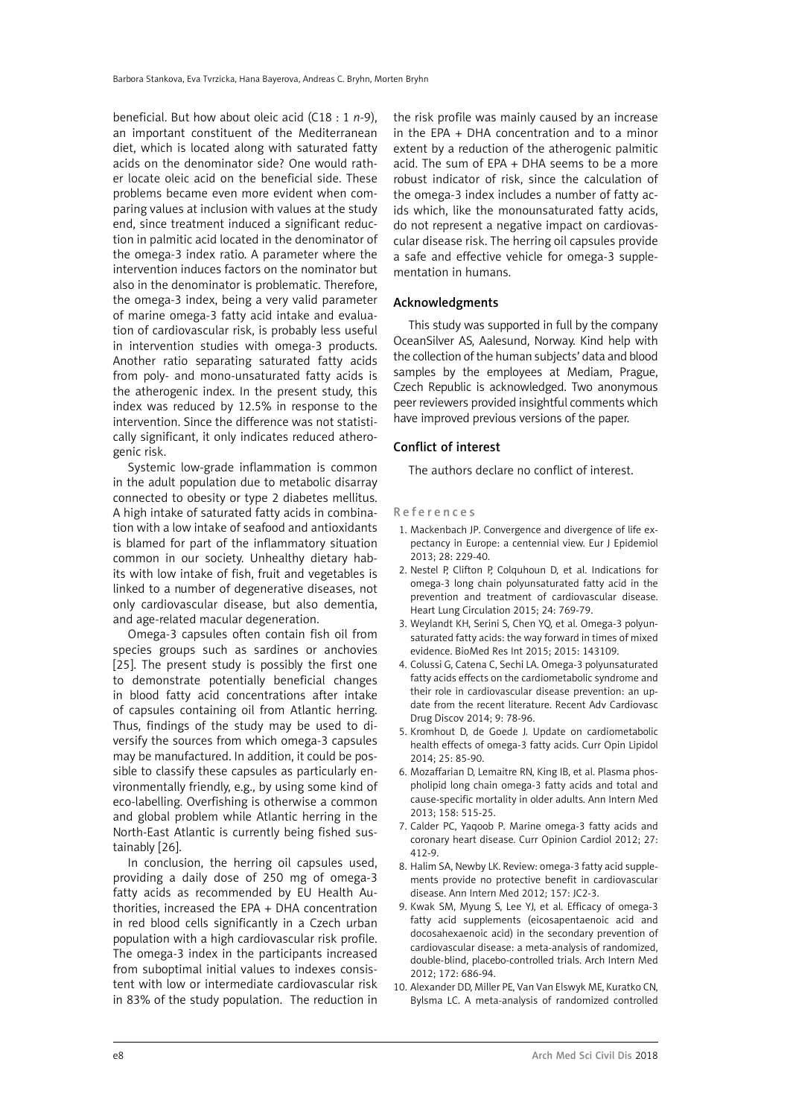beneficial. But how about oleic acid (C18 : 1 *n*-9), an important constituent of the Mediterranean diet, which is located along with saturated fatty acids on the denominator side? One would rather locate oleic acid on the beneficial side. These problems became even more evident when comparing values at inclusion with values at the study end, since treatment induced a significant reduction in palmitic acid located in the denominator of the omega-3 index ratio. A parameter where the intervention induces factors on the nominator but also in the denominator is problematic. Therefore, the omega-3 index, being a very valid parameter of marine omega-3 fatty acid intake and evaluation of cardiovascular risk, is probably less useful in intervention studies with omega-3 products. Another ratio separating saturated fatty acids from poly- and mono-unsaturated fatty acids is the atherogenic index. In the present study, this index was reduced by 12.5% in response to the intervention. Since the difference was not statistically significant, it only indicates reduced atherogenic risk.

Systemic low-grade inflammation is common in the adult population due to metabolic disarray connected to obesity or type 2 diabetes mellitus. A high intake of saturated fatty acids in combination with a low intake of seafood and antioxidants is blamed for part of the inflammatory situation common in our society. Unhealthy dietary habits with low intake of fish, fruit and vegetables is linked to a number of degenerative diseases, not only cardiovascular disease, but also dementia, and age-related macular degeneration.

Omega-3 capsules often contain fish oil from species groups such as sardines or anchovies [25]. The present study is possibly the first one to demonstrate potentially beneficial changes in blood fatty acid concentrations after intake of capsules containing oil from Atlantic herring. Thus, findings of the study may be used to diversify the sources from which omega-3 capsules may be manufactured. In addition, it could be possible to classify these capsules as particularly environmentally friendly, e.g., by using some kind of eco-labelling. Overfishing is otherwise a common and global problem while Atlantic herring in the North-East Atlantic is currently being fished sustainably [26].

In conclusion, the herring oil capsules used, providing a daily dose of 250 mg of omega-3 fatty acids as recommended by EU Health Authorities, increased the EPA + DHA concentration in red blood cells significantly in a Czech urban population with a high cardiovascular risk profile. The omega-3 index in the participants increased from suboptimal initial values to indexes consistent with low or intermediate cardiovascular risk in 83% of the study population. The reduction in the risk profile was mainly caused by an increase in the EPA + DHA concentration and to a minor extent by a reduction of the atherogenic palmitic acid. The sum of EPA + DHA seems to be a more robust indicator of risk, since the calculation of the omega-3 index includes a number of fatty acids which, like the monounsaturated fatty acids, do not represent a negative impact on cardiovascular disease risk. The herring oil capsules provide a safe and effective vehicle for omega-3 supplementation in humans.

# Acknowledgments

This study was supported in full by the company OceanSilver AS, Aalesund, Norway. Kind help with the collection of the human subjects' data and blood samples by the employees at Mediam, Prague, Czech Republic is acknowledged. Two anonymous peer reviewers provided insightful comments which have improved previous versions of the paper.

# Conflict of interest

The authors declare no conflict of interest.

#### References

- 1. Mackenbach JP. Convergence and divergence of life expectancy in Europe: a centennial view. Eur J Epidemiol 2013; 28: 229-40.
- 2. Nestel P, Clifton P, Colquhoun D, et al. Indications for omega-3 long chain polyunsaturated fatty acid in the prevention and treatment of cardiovascular disease. Heart Lung Circulation 2015; 24: 769-79.
- 3. Weylandt KH, Serini S, Chen YQ, et al. Omega-3 polyunsaturated fatty acids: the way forward in times of mixed evidence. BioMed Res Int 2015; 2015: 143109.
- 4. Colussi G, Catena C, Sechi LA. Omega-3 polyunsaturated fatty acids effects on the cardiometabolic syndrome and their role in cardiovascular disease prevention: an update from the recent literature. Recent Adv Cardiovasc Drug Discov 2014; 9: 78-96.
- 5. Kromhout D, de Goede J. Update on cardiometabolic health effects of omega-3 fatty acids. Curr Opin Lipidol 2014; 25: 85-90.
- 6. Mozaffarian D, Lemaitre RN, King IB, et al. Plasma phospholipid long chain omega-3 fatty acids and total and cause-specific mortality in older adults. Ann Intern Med 2013; 158: 515-25.
- 7. Calder PC, Yaqoob P. Marine omega-3 fatty acids and coronary heart disease. Curr Opinion Cardiol 2012; 27: 412-9.
- 8. Halim SA, Newby LK. Review: omega-3 fatty acid supplements provide no protective benefit in cardiovascular disease. Ann Intern Med 2012; 157: JC2-3.
- 9. Kwak SM, Myung S, Lee YJ, et al. Efficacy of omega-3 fatty acid supplements (eicosapentaenoic acid and docosahexaenoic acid) in the secondary prevention of cardiovascular disease: a meta-analysis of randomized, double-blind, placebo-controlled trials. Arch Intern Med 2012; 172: 686-94.
- 10. Alexander DD, Miller PE, Van Van Elswyk ME, Kuratko CN, Bylsma LC. A meta-analysis of randomized controlled